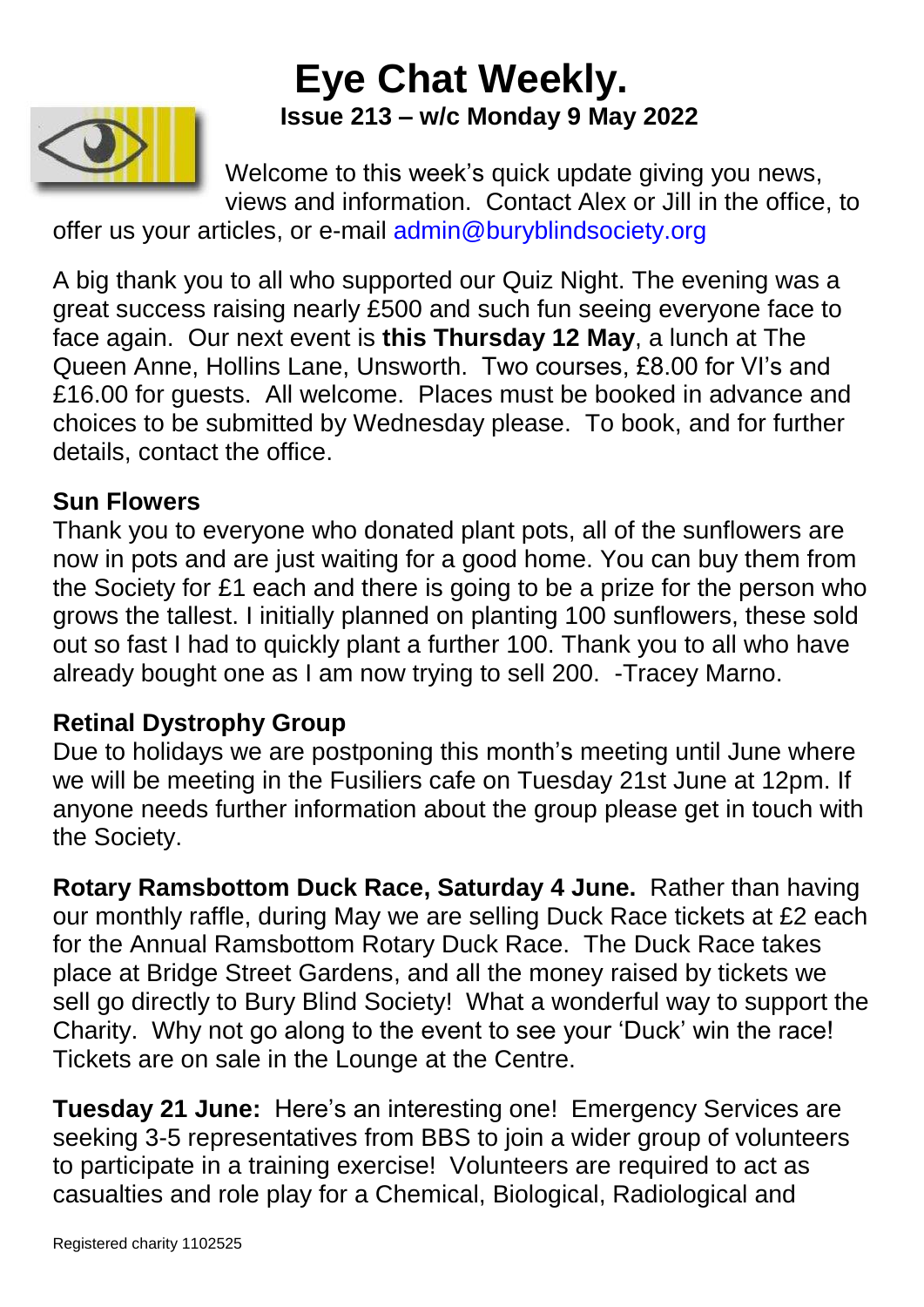# **Eye Chat Weekly. Issue 213 – w/c Monday 9 May 2022**



Welcome to this week's quick update giving you news, views and information. Contact Alex or Jill in the office, to

offer us your articles, or e-mail [admin@buryblindsociety.org](mailto:admin@buryblindsociety.org)

A big thank you to all who supported our Quiz Night. The evening was a great success raising nearly £500 and such fun seeing everyone face to face again. Our next event is **this Thursday 12 May**, a lunch at The Queen Anne, Hollins Lane, Unsworth. Two courses, £8.00 for VI's and £16.00 for guests. All welcome. Places must be booked in advance and choices to be submitted by Wednesday please. To book, and for further details, contact the office.

### **Sun Flowers**

Thank you to everyone who donated plant pots, all of the sunflowers are now in pots and are just waiting for a good home. You can buy them from the Society for £1 each and there is going to be a prize for the person who grows the tallest. I initially planned on planting 100 sunflowers, these sold out so fast I had to quickly plant a further 100. Thank you to all who have already bought one as I am now trying to sell 200. -Tracey Marno.

## **Retinal Dystrophy Group**

Due to holidays we are postponing this month's meeting until June where we will be meeting in the Fusiliers cafe on Tuesday 21st June at 12pm. If anyone needs further information about the group please get in touch with the Society.

**Rotary Ramsbottom Duck Race, Saturday 4 June.** Rather than having our monthly raffle, during May we are selling Duck Race tickets at £2 each for the Annual Ramsbottom Rotary Duck Race. The Duck Race takes place at Bridge Street Gardens, and all the money raised by tickets we sell go directly to Bury Blind Society! What a wonderful way to support the Charity. Why not go along to the event to see your 'Duck' win the race! Tickets are on sale in the Lounge at the Centre.

**Tuesday 21 June:** Here's an interesting one! Emergency Services are seeking 3-5 representatives from BBS to join a wider group of volunteers to participate in a training exercise! Volunteers are required to act as casualties and role play for a Chemical, Biological, Radiological and